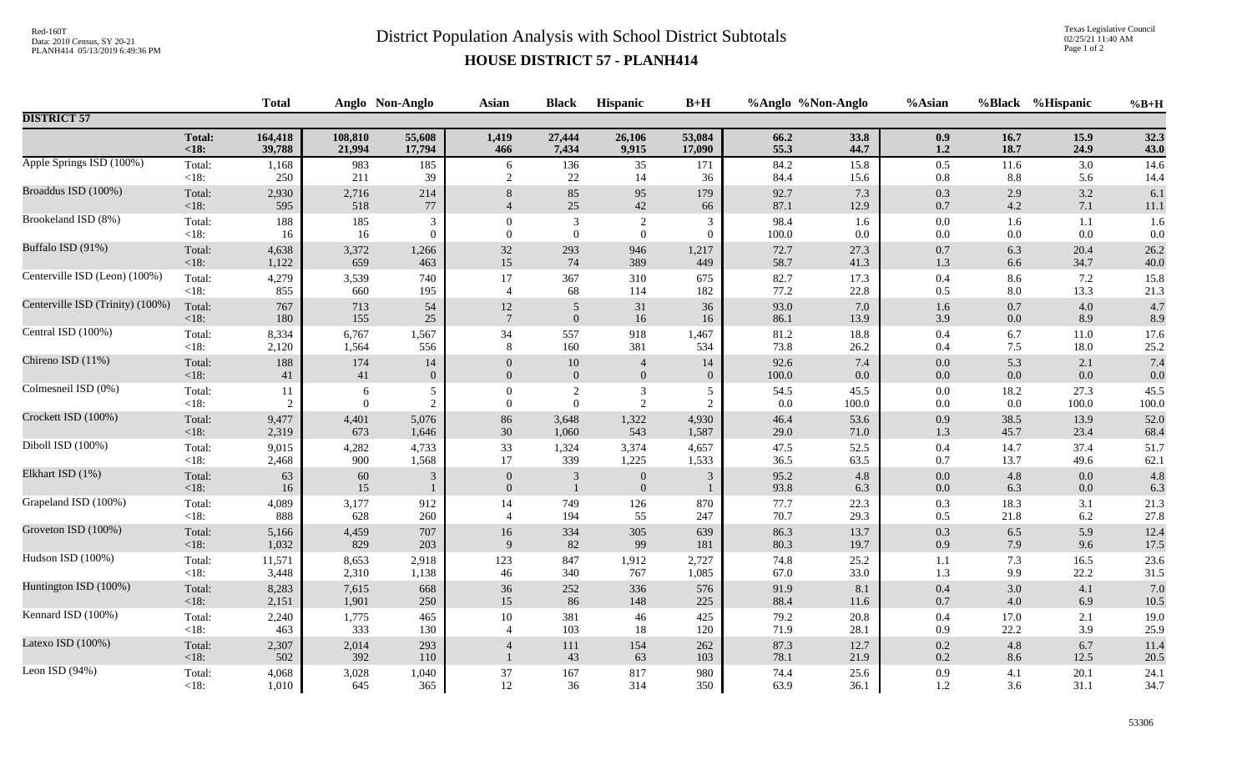## Red-160T<br>District Population Analysis with School District Subtotals

Texas Legislative Council 02/25/21 11:40 AM Page 1 of 2

## **HOUSE DISTRICT 57 - PLANH414**

|                                  |                | <b>Total</b> |              | Anglo Non-Anglo | Asian           | <b>Black</b>   | Hispanic       | $B+H$          |              | %Anglo %Non-Anglo | %Asian             |            | %Black %Hispanic | $%B+H$       |
|----------------------------------|----------------|--------------|--------------|-----------------|-----------------|----------------|----------------|----------------|--------------|-------------------|--------------------|------------|------------------|--------------|
| <b>DISTRICT 57</b>               |                |              |              |                 |                 |                |                |                |              |                   |                    |            |                  |              |
|                                  | <b>Total:</b>  | 164,418      | 108,810      | 55,608          | 1,419           | 27,444         | 26,106         | 53,084         | 66.2         | 33.8              | 0.9                | 16.7       | 15.9             | 32.3         |
|                                  | $18:$          | 39,788       | 21,994       | 17,794          | 466             | 7,434          | 9,915          | 17,090         | 55.3         | 44.7              | 1.2                | 18.7       | 24.9             | 43.0         |
| Apple Springs ISD (100%)         | Total:         | 1,168        | 983          | 185             | 6               | 136            | 35             | 171            | 84.2         | 15.8              | 0.5                | 11.6       | 3.0              | 14.6         |
|                                  | <18:           | 250          | 211          | 39              | 2               | 22             | 14             | 36             | 84.4         | 15.6              | 0.8                | 8.8        | 5.6              | 14.4         |
| Broaddus ISD (100%)              | Total:         | 2,930        | 2,716        | 214             | 8               | 85             | 95             | 179            | 92.7         | 7.3               | $0.3\,$            | 2.9        | 3.2              | 6.1          |
|                                  | <18:           | 595          | 518          | $77\,$          | $\overline{4}$  | $25\,$         | 42             | 66             | 87.1         | 12.9              | $0.7\,$            | 4.2        | 7.1              | $11.1\,$     |
| Brookeland ISD (8%)              | Total:         | 188          | 185          | 3               | $\Omega$        | $\mathfrak{Z}$ | $\overline{2}$ | 3              | 98.4         | 1.6               | 0.0                | 1.6        | 1.1              | 1.6          |
|                                  | $<18$ :        | 16           | 16           | $\mathbf{0}$    | $\overline{0}$  | $\mathbf{0}$   | $\overline{0}$ | $\overline{0}$ | 100.0        | $0.0\,$           | $0.0\,$            | 0.0        | 0.0              | $0.0\,$      |
| Buffalo ISD (91%)                | Total:         | 4,638        | 3,372        | 1,266           | 32              | 293            | 946            | 1,217          | 72.7         | 27.3              | $0.7\,$            | 6.3        | 20.4             | 26.2         |
|                                  | < 18:          | 1,122        | 659          | 463             | 15              | 74             | 389            | 449            | 58.7         | 41.3              | 1.3                | 6.6        | 34.7             | 40.0         |
| Centerville ISD (Leon) (100%)    | Total:         | 4,279        | 3,539        | 740             | 17              | 367            | 310            | 675            | 82.7         | 17.3              | $0.4\,$            | 8.6        | 7.2              | 15.8         |
|                                  | $<18$ :        | 855          | 660          | 195             | $\overline{4}$  | 68             | 114            | 182            | 77.2         | 22.8              | 0.5                | 8.0        | 13.3             | 21.3         |
| Centerville ISD (Trinity) (100%) | Total:         | 767          | 713          | 54              | 12              | $\overline{5}$ | 31             | 36             | 93.0         | 7.0               | 1.6                | 0.7        | 4.0              | 4.7          |
|                                  | <18:           | 180          | 155          | $25\,$          | $7\phantom{.0}$ | $\mathbf{0}$   | 16             | 16             | 86.1         | 13.9              | 3.9                | 0.0        | 8.9              | 8.9          |
| Central ISD (100%)               | Total:         | 8,334        | 6,767        | 1,567           | 34              | 557            | 918            | 1,467          | 81.2         | 18.8              | 0.4                | 6.7        | 11.0             | 17.6         |
|                                  | <18:           | 2,120        | 1,564        | 556             | 8               | 160            | 381            | 534            | 73.8         | 26.2              | 0.4                | 7.5        | 18.0             | 25.2         |
| Chireno ISD (11%)                | Total:         | 188          | 174          | 14              | $\theta$        | $10\,$         | $\overline{4}$ | 14             | 92.6         | $7.4\,$           | $0.0\,$            | 5.3        | 2.1              | 7.4          |
|                                  | <18:           | 41           | 41           | $\mathbf{0}$    | $\theta$        | $\overline{0}$ | $\mathbf{0}$   | $\overline{0}$ | 100.0        | 0.0               | $0.0\,$            | 0.0        | 0.0              | 0.0          |
| Colmesneil ISD (0%)              | Total:         | 11           | 6            | 5               | $\theta$        | $\sqrt{2}$     | $\mathfrak{Z}$ | 5              | 54.5         | 45.5              | $0.0\,$            | 18.2       | 27.3             | 45.5         |
|                                  | <18:           | 2            | $\theta$     | 2               | $\overline{0}$  | $\overline{0}$ | 2              | 2              | 0.0          | 100.0             | $0.0\,$            | 0.0        | 100.0            | 100.0        |
| Crockett ISD (100%)              | Total:         | 9,477        | 4,401        | 5,076           | 86              | 3,648          | 1,322          | 4,930          | 46.4         | 53.6              | $0.9\,$            | 38.5       | 13.9             | 52.0         |
|                                  | <18:           | 2,319        | 673          | 1,646           | 30              | 1,060          | 543            | 1,587          | 29.0         | 71.0              | 1.3                | 45.7       | 23.4             | 68.4         |
| Diboll ISD (100%)                | Total:         | 9,015        | 4,282        | 4,733           | 33              | 1,324          | 3,374          | 4,657          | 47.5         | 52.5              | $0.4\,$            | 14.7       | 37.4             | 51.7         |
|                                  | $<18$ :        | 2,468        | 900          | 1,568           | 17              | 339            | 1,225          | 1,533          | 36.5         | 63.5              | 0.7                | 13.7       | 49.6             | 62.1         |
| Elkhart ISD (1%)                 | Total:         | 63           | $60\,$       | $\mathfrak{Z}$  | $\mathbf{0}$    | 3              | $\mathbf{0}$   | $\mathfrak{Z}$ | 95.2         | $4.8\,$           | $0.0\,$            | 4.8        | 0.0              | 4.8          |
|                                  | <18:           | 16           | 15           | $\mathbf{1}$    | $\overline{0}$  | $\overline{1}$ | $\overline{0}$ | $\mathbf{1}$   | 93.8         | 6.3               | $0.0\,$            | 6.3        | 0.0              | 6.3          |
| Grapeland ISD (100%)             | Total:         | 4,089        | 3,177        | 912             | 14              | 749            | 126            | 870            | 77.7         | 22.3              | 0.3                | 18.3       | 3.1              | 21.3         |
|                                  | $<18$ :        | 888          | 628          | 260             | $\overline{4}$  | 194            | 55             | 247            | 70.7         | 29.3              | 0.5                | 21.8       | 6.2              | 27.8         |
| Groveton ISD (100%)              | Total:         | 5,166        | 4,459        | 707             | $16\,$          | 334            | 305            | 639            | 86.3         | 13.7              | $0.3\,$            | 6.5        | 5.9              | 12.4         |
|                                  | $<18$ :        | 1,032        | 829          | 203             | 9               | 82             | 99             | 181            | 80.3         | 19.7              | $0.9\,$            | 7.9        | 9.6              | 17.5         |
| Hudson ISD (100%)                | Total:         | 11,571       | 8,653        | 2,918           | 123             | 847            | 1,912          | 2,727          | 74.8         | 25.2              | 1.1                | 7.3        | 16.5             | 23.6         |
|                                  | <18:           | 3,448        | 2,310        | 1,138           | 46              | 340            | 767            | 1,085          | 67.0         | 33.0              | 1.3                | 9.9        | 22.2             | 31.5         |
| Huntington ISD (100%)            | Total:         | 8,283        | 7,615        | 668             | 36              | $252\,$        | 336            | 576            | 91.9         | 8.1               | $0.4\,$            | 3.0        | 4.1              | 7.0          |
|                                  | <18:           | 2,151        | 1,901        | 250             | 15              | 86             | 148            | 225            | 88.4         | 11.6              | $0.7\,$            | 4.0        | 6.9              | 10.5         |
| Kennard ISD (100%)               | Total:         | 2,240        | 1,775        | 465             | $10\,$          | 381            | 46             | 425            | 79.2         | 20.8              | $0.4\,$            | 17.0       | 2.1              | 19.0         |
|                                  | $<18$ :        | 463          | 333          | 130             | $\overline{4}$  | 103            | 18             | 120            | 71.9         | 28.1              | 0.9                | 22.2       | 3.9              | 25.9         |
| Latexo ISD (100%)                | Total:<br><18: | 2,307<br>502 | 2,014<br>392 | 293<br>110      | $\overline{4}$  | 111<br>43      | 154<br>63      | 262<br>103     | 87.3<br>78.1 | 12.7<br>21.9      | $0.2\,$<br>$0.2\,$ | 4.8<br>8.6 | 6.7<br>12.5      | 11.4<br>20.5 |
| Leon ISD (94%)                   | Total:         | 4,068        | 3,028        | 1,040           | 37              | 167            | 817            | 980            | 74.4         | 25.6              | 0.9                | 4.1        | 20.1             | 24.1         |
|                                  | $<18$ :        | 1,010        | 645          | 365             | 12              | 36             | 314            | 350            | 63.9         | 36.1              | $1.2\,$            | 3.6        | 31.1             | 34.7         |